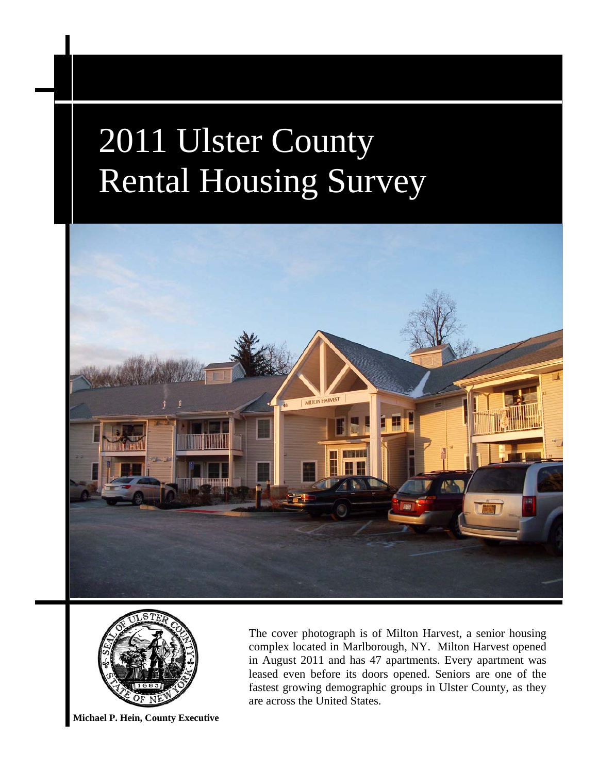



**Michael P. Hein, County Executive** 

The cover photograph is of Milton Harvest, a senior housing complex located in Marlborough, NY. Milton Harvest opened in August 2011 and has 47 apartments. Every apartment was leased even before its doors opened. Seniors are one of the fastest growing demographic groups in Ulster County, as they are across the United States.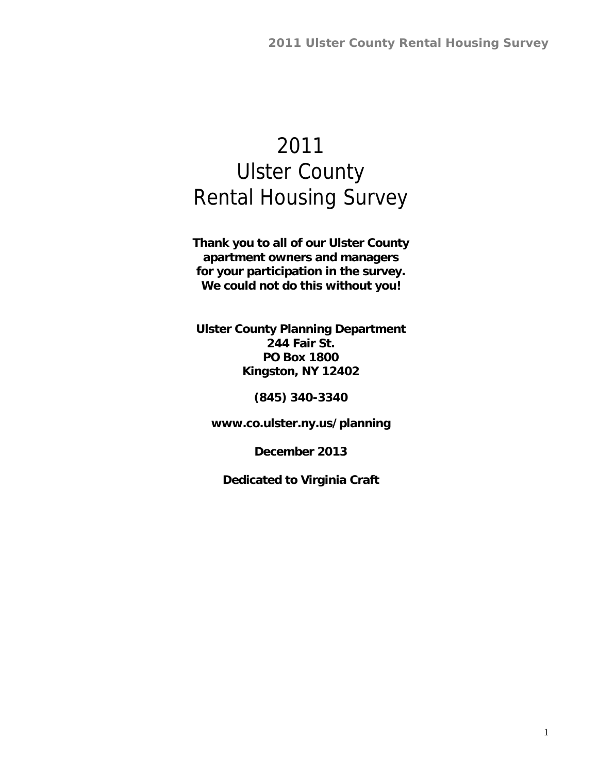**Thank you to all of our Ulster County apartment owners and managers for your participation in the survey. We could not do this without you!** 

**Ulster County Planning Department 244 Fair St. PO Box 1800 Kingston, NY 12402** 

**(845) 340-3340** 

**www.co.ulster.ny.us/planning** 

**December 2013** 

**Dedicated to Virginia Craft**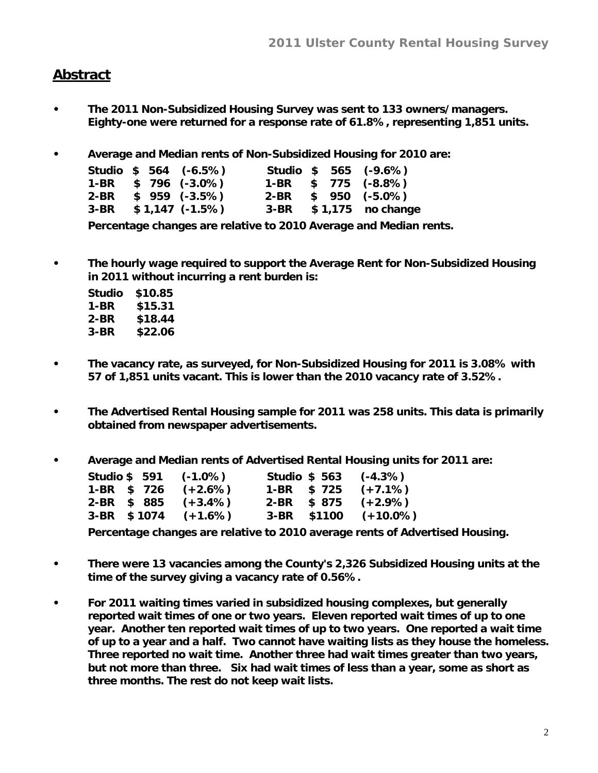#### **Abstract**

- **The 2011 Non-Subsidized Housing Survey was sent to 133 owners/managers. Eighty-one were returned for a response rate of 61.8%, representing 1,851 units.**
- **Average and Median rents of Non-Subsidized Housing for 2010 are:**

|  | Studio \$ 564 (-6.5%)  |  | Studio \$ 565 (-9.6%)    |
|--|------------------------|--|--------------------------|
|  | $1-BR$ \$ 796 (-3.0%)  |  | $1-BR$ \$ 775 (-8.8%)    |
|  | $2-BR$ \$ 959 (-3.5%)  |  | $2-BR$ \$ 950 (-5.0%)    |
|  | $3-BR$ \$1,147 (-1.5%) |  | $3-BR$ \$1,175 no change |

**Percentage changes are relative to 2010 Average and Median rents.** 

**• The hourly wage required to support the Average Rent for Non-Subsidized Housing in 2011 without incurring a rent burden is:** 

| Studio | \$10.85 |
|--------|---------|
| 1-BR   | \$15.31 |
| 2-BR   | \$18.44 |
| 3-BR   | \$22.06 |

- **The vacancy rate, as surveyed, for Non-Subsidized Housing for 2011 is 3.08% with 57 of 1,851 units vacant. This is lower than the 2010 vacancy rate of 3.52%.**
- **The Advertised Rental Housing sample for 2011 was 258 units. This data is primarily obtained from newspaper advertisements.**
- **Average and Median rents of Advertised Rental Housing units for 2011 are:**

| Studio \$591 | $(-1.0\%)$ | <b>Studio \$ 563</b> | $(-4.3%)$   |
|--------------|------------|----------------------|-------------|
| 1-BR \$ 726  | $(+2.6%)$  | $1-BR$ \$ 725        | $(+7.1%)$   |
| 2-BR \$ 885  | $(+3.4\%)$ | $2-BR$ \$ 875        | $(+2.9\%)$  |
| 3-BR \$1074  | $(+1.6%)$  | 3-BR \$1100          | $(+10.0\%)$ |

**Percentage changes are relative to 2010 average rents of Advertised Housing.** 

- **There were 13 vacancies among the County's 2,326 Subsidized Housing units at the time of the survey giving a vacancy rate of 0.56%.**
- **For 2011 waiting times varied in subsidized housing complexes, but generally reported wait times of one or two years. Eleven reported wait times of up to one year. Another ten reported wait times of up to two years. One reported a wait time of up to a year and a half. Two cannot have waiting lists as they house the homeless. Three reported no wait time. Another three had wait times greater than two years, but not more than three. Six had wait times of less than a year, some as short as three months. The rest do not keep wait lists.**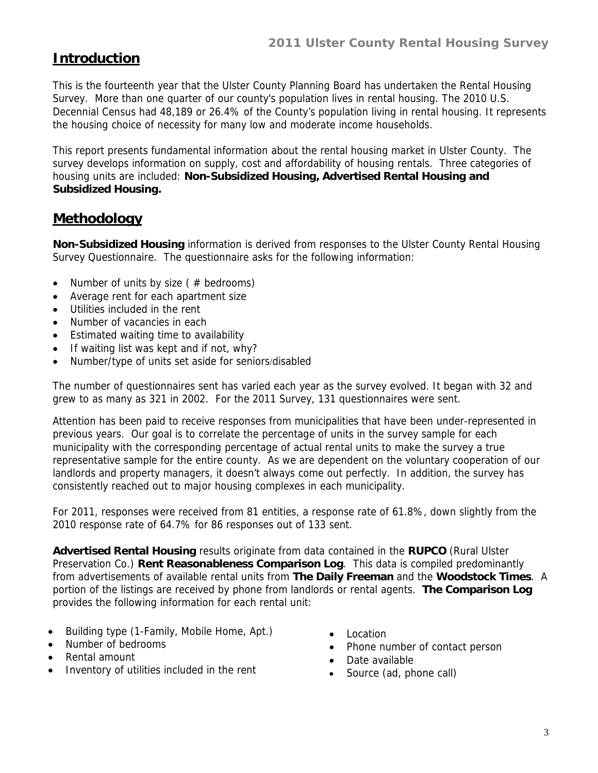# **Introduction**

This is the fourteenth year that the Ulster County Planning Board has undertaken the Rental Housing Survey. More than one quarter of our county's population lives in rental housing. The 2010 U.S. Decennial Census had 48,189 or 26.4% of the County's population living in rental housing. It represents the housing choice of necessity for many low and moderate income households.

This report presents fundamental information about the rental housing market in Ulster County. The survey develops information on supply, cost and affordability of housing rentals. Three categories of housing units are included: **Non-Subsidized Housing, Advertised Rental Housing and Subsidized Housing.** 

# **Methodology**

**Non-Subsidized Housing** information is derived from responses to the Ulster County Rental Housing Survey Questionnaire. The questionnaire asks for the following information:

- Number of units by size ( $#$  bedrooms)
- Average rent for each apartment size
- Utilities included in the rent
- Number of vacancies in each
- Estimated waiting time to availability
- If waiting list was kept and if not, why?
- Number/type of units set aside for seniors/disabled

The number of questionnaires sent has varied each year as the survey evolved. It began with 32 and grew to as many as 321 in 2002. For the 2011 Survey, 131 questionnaires were sent.

Attention has been paid to receive responses from municipalities that have been under-represented in previous years. Our goal is to correlate the percentage of units in the survey sample for each municipality with the corresponding percentage of actual rental units to make the survey a true representative sample for the entire county. As we are dependent on the voluntary cooperation of our landlords and property managers, it doesn't always come out perfectly. In addition, the survey has consistently reached out to major housing complexes in each municipality.

For 2011, responses were received from 81 entities, a response rate of 61.8%, down slightly from the 2010 response rate of 64.7% for 86 responses out of 133 sent.

**Advertised Rental Housing** results originate from data contained in the **RUPCO** (Rural Ulster Preservation Co.) **Rent Reasonableness Comparison Log**. This data is compiled predominantly from advertisements of available rental units from **The Daily Freeman** and the **Woodstock Times**. A portion of the listings are received by phone from landlords or rental agents. **The Comparison Log** provides the following information for each rental unit:

- Building type (1-Family, Mobile Home, Apt.)
- Number of bedrooms
- Rental amount
- Inventory of utilities included in the rent
- Location
- Phone number of contact person
- Date available
- Source (ad, phone call)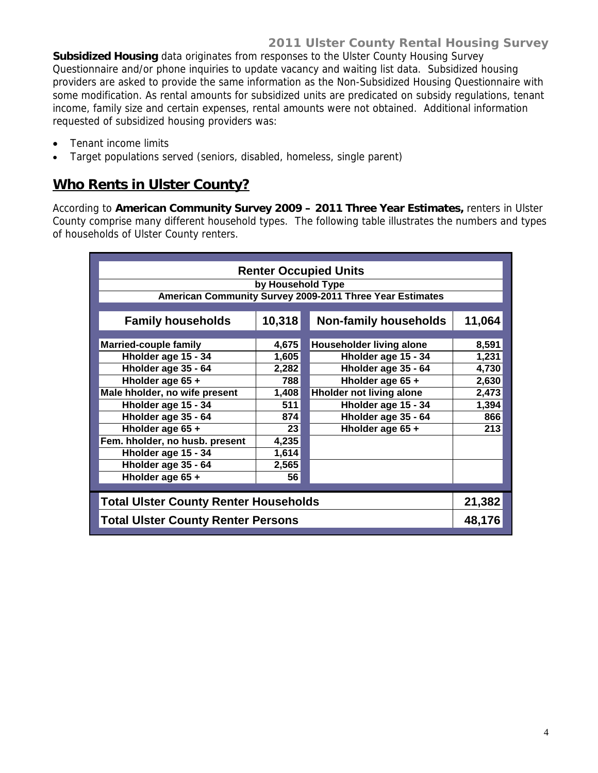**Subsidized Housing** data originates from responses to the Ulster County Housing Survey Questionnaire and/or phone inquiries to update vacancy and waiting list data. Subsidized housing providers are asked to provide the same information as the Non-Subsidized Housing Questionnaire with some modification. As rental amounts for subsidized units are predicated on subsidy regulations, tenant income, family size and certain expenses, rental amounts were not obtained. Additional information requested of subsidized housing providers was:

- Tenant income limits
- Target populations served (seniors, disabled, homeless, single parent)

### **Who Rents in Ulster County?**

According to **American Community Survey 2009 – 2011 Three Year Estimates,** renters in Ulster County comprise many different household types. The following table illustrates the numbers and types of households of Ulster County renters.

| <b>Renter Occupied Units</b>                 |                                          |                                                          |        |  |  |  |  |  |  |
|----------------------------------------------|------------------------------------------|----------------------------------------------------------|--------|--|--|--|--|--|--|
|                                              |                                          |                                                          |        |  |  |  |  |  |  |
|                                              | by Household Type                        |                                                          |        |  |  |  |  |  |  |
|                                              |                                          | American Community Survey 2009-2011 Three Year Estimates |        |  |  |  |  |  |  |
| <b>Family households</b>                     | 10,318                                   | <b>Non-family households</b>                             | 11,064 |  |  |  |  |  |  |
|                                              |                                          |                                                          |        |  |  |  |  |  |  |
| <b>Married-couple family</b>                 | 4,675                                    | Householder living alone                                 | 8,591  |  |  |  |  |  |  |
| Hholder age 15 - 34                          | 1,605                                    | Hholder age 15 - 34                                      | 1,231  |  |  |  |  |  |  |
| Hholder age 35 - 64                          | 2,282                                    | Hholder age 35 - 64                                      | 4,730  |  |  |  |  |  |  |
| Hholder age 65 +<br>Hholder age 65 +<br>788  |                                          |                                                          |        |  |  |  |  |  |  |
| Male hholder, no wife present                | 1,408<br><b>Hholder not living alone</b> |                                                          |        |  |  |  |  |  |  |
| Hholder age 15 - 34                          | 511                                      | Hholder age 15 - 34                                      | 1,394  |  |  |  |  |  |  |
| Hholder age 35 - 64                          | 874                                      | Hholder age 35 - 64                                      | 866    |  |  |  |  |  |  |
| Hholder age 65 +                             | 23                                       | Hholder age 65 +                                         | 213    |  |  |  |  |  |  |
| Fem. hholder, no husb. present               | 4,235                                    |                                                          |        |  |  |  |  |  |  |
| Hholder age 15 - 34                          | 1,614                                    |                                                          |        |  |  |  |  |  |  |
| Hholder age 35 - 64                          | 2,565                                    |                                                          |        |  |  |  |  |  |  |
| Hholder age 65 +                             | 56                                       |                                                          |        |  |  |  |  |  |  |
|                                              |                                          |                                                          |        |  |  |  |  |  |  |
| <b>Total Ulster County Renter Households</b> |                                          |                                                          | 21,382 |  |  |  |  |  |  |
| <b>Total Ulster County Renter Persons</b>    |                                          |                                                          | 48,176 |  |  |  |  |  |  |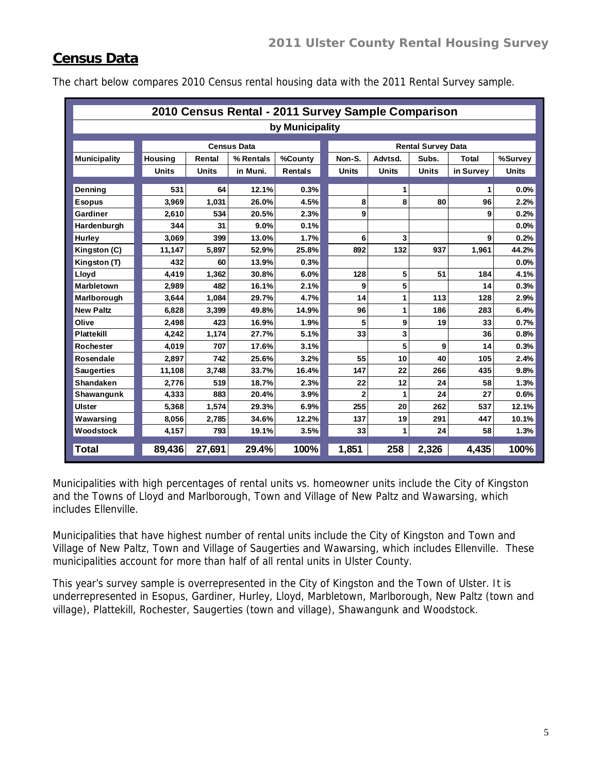### **Census Data**

|                     |              |              | 2010 Census Rental - 2011 Survey Sample Comparison |                 |                |              |                           |           |              |
|---------------------|--------------|--------------|----------------------------------------------------|-----------------|----------------|--------------|---------------------------|-----------|--------------|
|                     |              |              |                                                    | by Municipality |                |              |                           |           |              |
|                     |              |              | <b>Census Data</b>                                 |                 |                |              | <b>Rental Survey Data</b> |           |              |
| <b>Municipality</b> | Housing      | Rental       | % Rentals                                          | %County         | Non-S.         | Advtsd.      | Subs.                     | Total     | %Survey      |
|                     | <b>Units</b> | <b>Units</b> | in Muni.                                           | Rentals         | <b>Units</b>   | <b>Units</b> | <b>Units</b>              | in Survey | <b>Units</b> |
|                     |              |              |                                                    |                 |                |              |                           |           |              |
| <b>Denning</b>      | 531          | 64           | 12.1%                                              | 0.3%            |                | 1            |                           | 1         | 0.0%         |
| <b>Esopus</b>       | 3,969        | 1,031        | 26.0%                                              | 4.5%            | 8              | 8            | 80                        | 96        | 2.2%         |
| Gardiner            | 2,610        | 534          | 20.5%                                              | 2.3%            | 9              |              |                           | 9         | 0.2%         |
| Hardenburgh         | 344          | 31           | 9.0%                                               | 0.1%            |                |              |                           |           | 0.0%         |
| Hurley              | 3,069        | 399          | 13.0%                                              | 1.7%            | 6              | 3            |                           | 9         | 0.2%         |
| Kingston (C)        | 11,147       | 5,897        | 52.9%                                              | 25.8%           | 892            | 132          | 937                       | 1,961     | 44.2%        |
| Kingston (T)        | 432          | 60           | 13.9%                                              | 0.3%            |                |              |                           |           | 0.0%         |
| Lloyd               | 4,419        | 1,362        | 30.8%                                              | 6.0%            | 128            | 5            | 51                        | 184       | 4.1%         |
| <b>Marbletown</b>   | 2,989        | 482          | 16.1%                                              | 2.1%            | 9              | 5            |                           | 14        | 0.3%         |
| Marlborough         | 3,644        | 1,084        | 29.7%                                              | 4.7%            | 14             | 1            | 113                       | 128       | 2.9%         |
| <b>New Paltz</b>    | 6,828        | 3,399        | 49.8%                                              | 14.9%           | 96             | 1            | 186                       | 283       | 6.4%         |
| Olive               | 2,498        | 423          | 16.9%                                              | 1.9%            | 5              | 9            | 19                        | 33        | 0.7%         |
| Plattekill          | 4,242        | 1,174        | 27.7%                                              | 5.1%            | 33             | 3            |                           | 36        | 0.8%         |
| <b>Rochester</b>    | 4,019        | 707          | 17.6%                                              | 3.1%            |                | 5            | 9                         | 14        | 0.3%         |
| Rosendale           | 2,897        | 742          | 25.6%                                              | 3.2%            | 55             | 10           | 40                        | 105       | 2.4%         |
| <b>Saugerties</b>   | 11,108       | 3,748        | 33.7%                                              | 16.4%           | 147            | 22           | 266                       | 435       | 9.8%         |
| Shandaken           | 2,776        | 519          | 18.7%                                              | 2.3%            | 22             | 12           | 24                        | 58        | 1.3%         |
| Shawangunk          | 4,333        | 883          | 20.4%                                              | 3.9%            | $\overline{2}$ | 1            | 24                        | 27        | 0.6%         |
| <b>Ulster</b>       | 5,368        | 1,574        | 29.3%                                              | 6.9%            | 255            | 20           | 262                       | 537       | 12.1%        |
| Wawarsing           | 8,056        | 2,785        | 34.6%                                              | 12.2%           | 137            | 19           | 291                       | 447       | 10.1%        |
| Woodstock           | 4.157        | 793          | 19.1%                                              | 3.5%            | 33             | 1            | 24                        | 58        | 1.3%         |
| <b>Total</b>        | 89,436       | 27,691       | 29.4%                                              | 100%            | 1,851          | 258          | 2,326                     | 4,435     | 100%         |

The chart below compares 2010 Census rental housing data with the 2011 Rental Survey sample.

Municipalities with high percentages of rental units vs. homeowner units include the City of Kingston and the Towns of Lloyd and Marlborough, Town and Village of New Paltz and Wawarsing, which includes Ellenville.

Municipalities that have highest number of rental units include the City of Kingston and Town and Village of New Paltz, Town and Village of Saugerties and Wawarsing, which includes Ellenville. These municipalities account for more than half of all rental units in Ulster County.

This year's survey sample is overrepresented in the City of Kingston and the Town of Ulster. It is underrepresented in Esopus, Gardiner, Hurley, Lloyd, Marbletown, Marlborough, New Paltz (town and village), Plattekill, Rochester, Saugerties (town and village), Shawangunk and Woodstock.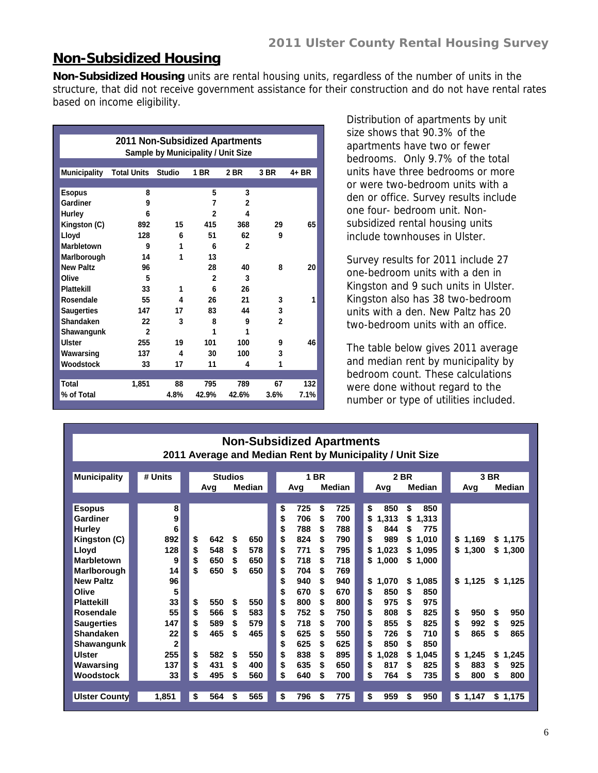#### **Non-Subsidized Housing**

**Non-Subsidized Housing** units are rental housing units, regardless of the number of units in the structure, that did not receive government assistance for their construction and do not have rental rates based on income eligibility.

| <b>2011 Non-Subsidized Apartments</b><br><b>Sample by Municipality / Unit Size</b> |                    |               |              |              |                |       |  |  |  |  |  |  |
|------------------------------------------------------------------------------------|--------------------|---------------|--------------|--------------|----------------|-------|--|--|--|--|--|--|
| <b>Municipality</b>                                                                | <b>Total Units</b> | <b>Studio</b> | 1 BR         | 2 BR         | 3 BR           | 4+ BR |  |  |  |  |  |  |
|                                                                                    |                    |               |              |              |                |       |  |  |  |  |  |  |
| <b>Esopus</b>                                                                      | 8                  |               | 5            | 3            |                |       |  |  |  |  |  |  |
| Gardiner                                                                           | 9                  |               | 7            | $\mathbf{2}$ |                |       |  |  |  |  |  |  |
| <b>Hurley</b>                                                                      | 6                  |               | $\mathbf{2}$ | 4            |                |       |  |  |  |  |  |  |
| Kingston (C)                                                                       | 892                | 15            | 415          | 368          | 29             | 65    |  |  |  |  |  |  |
| Lloyd                                                                              | 128                | 6             | 51           | 62           | 9              |       |  |  |  |  |  |  |
| Marbletown                                                                         | 9                  | 1             | 6            | $\mathbf{2}$ |                |       |  |  |  |  |  |  |
| Marlborough                                                                        | 14                 | 1             | 13           |              |                |       |  |  |  |  |  |  |
| <b>New Paltz</b>                                                                   | 96                 |               | 28           | 40           | 8              | 20    |  |  |  |  |  |  |
| Olive                                                                              | 5                  |               | $\mathbf{2}$ | 3            |                |       |  |  |  |  |  |  |
| <b>Plattekill</b>                                                                  | 33                 | 1             | 6            | 26           |                |       |  |  |  |  |  |  |
| Rosendale                                                                          | 55                 | 4             | 26           | 21           | 3              | 1     |  |  |  |  |  |  |
| <b>Saugerties</b>                                                                  | 147                | 17            | 83           | 44           | 3              |       |  |  |  |  |  |  |
| Shandaken                                                                          | 22                 | 3             | 8            | 9            | $\overline{2}$ |       |  |  |  |  |  |  |
| Shawangunk                                                                         | $\mathfrak{p}$     |               | 1            | 1            |                |       |  |  |  |  |  |  |
| Ulster                                                                             | 255                | 19            | 101          | 100          | 9              | 46    |  |  |  |  |  |  |
| Wawarsing                                                                          | 137                | 4             | 30           | 100          | 3              |       |  |  |  |  |  |  |
| Woodstock                                                                          | 33                 | 17            | 11           | 4            | 1              |       |  |  |  |  |  |  |
|                                                                                    |                    |               |              |              |                |       |  |  |  |  |  |  |
| Total                                                                              | 1,851              | 88            | 795          | 789          | 67             | 132   |  |  |  |  |  |  |
| % of Total                                                                         |                    | 4.8%          | 42.9%        | 42.6%        | 3.6%           | 7.1%  |  |  |  |  |  |  |

Distribution of apartments by unit size shows that 90.3% of the apartments have two or fewer bedrooms. Only 9.7% of the total units have three bedrooms or more or were two-bedroom units with a den or office. Survey results include one four- bedroom unit. Nonsubsidized rental housing units include townhouses in Ulster.

Survey results for 2011 include 27 one-bedroom units with a den in Kingston and 9 such units in Ulster. Kingston also has 38 two-bedroom units with a den. New Paltz has 20 two-bedroom units with an office.

The table below gives 2011 average and median rent by municipality by bedroom count. These calculations were done without regard to the number or type of utilities included.

|                      | <b>Non-Subsidized Apartments</b> |           |                                 |           |           |                                                          |                        |  |  |  |  |  |
|----------------------|----------------------------------|-----------|---------------------------------|-----------|-----------|----------------------------------------------------------|------------------------|--|--|--|--|--|
|                      |                                  |           |                                 |           |           | 2011 Average and Median Rent by Municipality / Unit Size |                        |  |  |  |  |  |
|                      |                                  |           |                                 |           |           |                                                          |                        |  |  |  |  |  |
| <b>Municipality</b>  | # Units                          |           | <b>Studios</b><br><b>Median</b> |           | 1 BR      | 2 BR                                                     | 3 BR                   |  |  |  |  |  |
|                      |                                  | Avg       |                                 | Avg       | Median    | Median<br>Avg                                            | Median<br>Avg          |  |  |  |  |  |
| <b>Esopus</b>        | 8                                |           |                                 | \$<br>725 | \$<br>725 | \$<br>\$<br>850<br>850                                   |                        |  |  |  |  |  |
| Gardiner             | 9                                |           |                                 | \$<br>706 | 700<br>\$ | \$<br>1,313<br>\$<br>1,313                               |                        |  |  |  |  |  |
| <b>Hurley</b>        | 6                                |           |                                 | \$<br>788 | 788<br>\$ | \$<br>775<br>844<br>\$                                   |                        |  |  |  |  |  |
| Kingston (C)         | 892                              | \$<br>642 | \$<br>650                       | \$<br>824 | \$<br>790 | \$<br>989<br>\$1,010                                     | \$1,169<br>\$1,175     |  |  |  |  |  |
| Lloyd                | 128                              | \$<br>548 | \$<br>578                       | \$<br>771 | 795<br>S  | \$<br>1,023<br>\$1,095                                   | \$1,300<br>\$1,300     |  |  |  |  |  |
| <b>Marbletown</b>    | 9                                | \$<br>650 | \$<br>650                       | \$<br>718 | 718<br>\$ | \$1,000<br>\$1,000                                       |                        |  |  |  |  |  |
| Marlborough          | 14                               | \$<br>650 | 650<br>S                        | \$<br>704 | 769<br>S  |                                                          |                        |  |  |  |  |  |
| <b>New Paltz</b>     | 96                               |           |                                 | \$<br>940 | \$<br>940 | \$<br>1,070<br>\$<br>1,085                               | \$1,125<br>\$1,125     |  |  |  |  |  |
| Olive                | 5                                |           |                                 | \$<br>670 | 670<br>\$ | 850<br>\$<br>\$<br>850                                   |                        |  |  |  |  |  |
| <b>Plattekill</b>    | 33                               | \$<br>550 | 550<br>\$                       | \$<br>800 | 800<br>\$ | 975<br>\$<br>\$<br>975                                   |                        |  |  |  |  |  |
| Rosendale            | 55                               | \$<br>566 | \$<br>583                       | \$<br>752 | 750<br>S  | \$<br>808<br>825<br>\$                                   | \$<br>950<br>950<br>\$ |  |  |  |  |  |
| <b>Saugerties</b>    | 147                              | \$<br>589 | 579<br>Ŝ.                       | \$<br>718 | 700<br>S  | \$<br>855<br>825<br>\$                                   | \$<br>992<br>925<br>\$ |  |  |  |  |  |
| <b>Shandaken</b>     | 22                               | \$<br>465 | 465<br>\$                       | \$<br>625 | 550<br>\$ | \$<br>726<br>710<br>\$                                   | \$<br>865<br>\$<br>865 |  |  |  |  |  |
| Shawangunk           | $\overline{2}$                   |           |                                 | \$<br>625 | 625<br>S  | \$<br>850<br>850<br>S                                    |                        |  |  |  |  |  |
| <b>Ulster</b>        | 255                              | \$<br>582 | \$<br>550                       | \$<br>838 | \$<br>895 | \$<br>1,028<br>\$<br>1,045                               | \$<br>1,245<br>\$1,245 |  |  |  |  |  |
| Wawarsing            | 137                              | \$<br>431 | 400<br>S                        | \$<br>635 | 650<br>S  | \$<br>817<br>825<br>S                                    | \$<br>883<br>925<br>S  |  |  |  |  |  |
| Woodstock            | 33                               | \$<br>495 | 560<br>\$                       | \$<br>640 | 700<br>\$ | \$<br>764<br>735<br>\$                                   | \$<br>800<br>\$<br>800 |  |  |  |  |  |
|                      |                                  |           |                                 |           |           |                                                          |                        |  |  |  |  |  |
| <b>Ulster County</b> | 1,851                            | \$<br>564 | 565<br>\$                       | \$<br>796 | 775<br>\$ | \$<br>959<br>950<br>\$                                   | \$1,147<br>\$1,175     |  |  |  |  |  |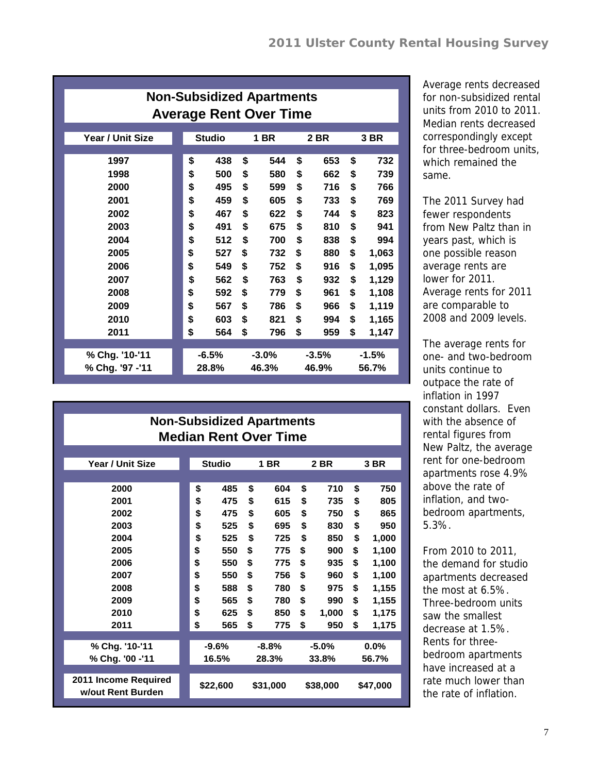| <b>Non-Subsidized Apartments</b><br><b>Average Rent Over Time</b> |               |         |    |         |         |       |         |       |  |  |
|-------------------------------------------------------------------|---------------|---------|----|---------|---------|-------|---------|-------|--|--|
| Year / Unit Size                                                  | <b>Studio</b> |         |    | 1 BR    |         | 2 BR  |         | 3 BR  |  |  |
| 1997                                                              | \$            | 438     | \$ | 544     | \$      | 653   | \$      | 732   |  |  |
| 1998                                                              | \$            | 500     | \$ | 580     | \$      | 662   | \$      | 739   |  |  |
| 2000                                                              | \$            | 495     | \$ | 599     | \$      | 716   | \$      | 766   |  |  |
| 2001                                                              | \$            | 459     | \$ | 605     | \$      | 733   | \$      | 769   |  |  |
| 2002                                                              | \$            | 467     | \$ | 622     | \$      | 744   | \$      | 823   |  |  |
| 2003                                                              | \$            | 491     | \$ | 675     | \$      | 810   | \$      | 941   |  |  |
| 2004                                                              | \$            | 512     | \$ | 700     | \$      | 838   | \$      | 994   |  |  |
| 2005                                                              | \$            | 527     | \$ | 732     | \$      | 880   | \$      | 1,063 |  |  |
| 2006                                                              | \$            | 549     | \$ | 752     | \$      | 916   | \$      | 1,095 |  |  |
| 2007                                                              | \$            | 562     | \$ | 763     | \$      | 932   | \$      | 1,129 |  |  |
| 2008                                                              | \$            | 592     | \$ | 779     | \$      | 961   | \$      | 1,108 |  |  |
| 2009                                                              | \$            | 567     | \$ | 786     | \$      | 966   | \$      | 1,119 |  |  |
| 2010                                                              | \$            | 603     | \$ | 821     | \$      | 994   | \$      | 1,165 |  |  |
| 2011                                                              | \$            | 564     | \$ | 796     | \$      | 959   | \$      | 1,147 |  |  |
|                                                                   |               |         |    |         |         |       |         |       |  |  |
| % Chg. '10-'11                                                    |               | $-6.5%$ |    | $-3.0%$ | $-3.5%$ |       | $-1.5%$ |       |  |  |
| % Chg. '97 -'11                                                   |               | 28.8%   |    | 46.3%   |         | 46.9% |         | 56.7% |  |  |

Average rents decreased for non-subsidized rental units from 2010 to 2011. Median rents decreased correspondingly except for three-bedroom units, which remained the same.

The 2011 Survey had fewer respondents from New Paltz than in years past, which is one possible reason average rents are lower for 2011. Average rents for 2011 are comparable to 2008 and 2009 levels.

The average rents for one- and two-bedroom units continue to outpace the rate of inflation in 1997 constant dollars. Even with the absence of rental figures from New Paltz, the average rent for one-bedroom apartments rose 4.9% above the rate of inflation, and twobedroom apartments, 5.3%.

From 2010 to 2011, the demand for studio apartments decreased the most at 6.5%. Three-bedroom units saw the smallest decrease at 1.5%. Rents for threebedroom apartments have increased at a rate much lower than the rate of inflation.

| <b>Non-Subsidized Apartments</b><br><b>Median Rent Over Time</b> |    |               |    |             |    |          |    |          |  |  |  |  |
|------------------------------------------------------------------|----|---------------|----|-------------|----|----------|----|----------|--|--|--|--|
| Year / Unit Size                                                 |    | <b>Studio</b> |    | <b>1 BR</b> |    | 2 BR     |    | 3 BR     |  |  |  |  |
|                                                                  |    |               |    |             |    |          |    |          |  |  |  |  |
| 2000                                                             | \$ | 485           | \$ | 604         | \$ | 710      | \$ | 750      |  |  |  |  |
| 2001                                                             | \$ | 475           | \$ | 615         | \$ | 735      | \$ | 805      |  |  |  |  |
| 2002                                                             | \$ | 475           | \$ | 605         | \$ | 750      | \$ | 865      |  |  |  |  |
| 2003                                                             | \$ | 525           | \$ | 695         | \$ | 830      | \$ | 950      |  |  |  |  |
| 2004                                                             | \$ | 525           | \$ | 725         | \$ | 850      | \$ | 1,000    |  |  |  |  |
| 2005                                                             | \$ | 550           | \$ | 775         | \$ | 900      | \$ | 1,100    |  |  |  |  |
| 2006                                                             | \$ | 550           | \$ | 775         | \$ | 935      | \$ | 1,100    |  |  |  |  |
| 2007                                                             | \$ | 550           | \$ | 756         | \$ | 960      | \$ | 1,100    |  |  |  |  |
| 2008                                                             | \$ | 588           | \$ | 780         | \$ | 975      | \$ | 1,155    |  |  |  |  |
| 2009                                                             | \$ | 565           | \$ | 780         | \$ | 990      | \$ | 1,155    |  |  |  |  |
| 2010                                                             | \$ | 625           | \$ | 850         | \$ | 1,000    | \$ | 1,175    |  |  |  |  |
| 2011                                                             | \$ | 565           | \$ | 775         | \$ | 950      | \$ | 1,175    |  |  |  |  |
|                                                                  |    |               |    |             |    |          |    |          |  |  |  |  |
| % Chg. '10-'11                                                   |    | $-9.6%$       |    | $-8.8%$     |    | $-5.0%$  |    | $0.0\%$  |  |  |  |  |
| % Chg. '00 -'11                                                  |    | 16.5%         |    | 28.3%       |    | 33.8%    |    | 56.7%    |  |  |  |  |
| 2011 Income Required<br>w/out Rent Burden                        |    | \$22,600      |    | \$31,000    |    | \$38,000 |    | \$47,000 |  |  |  |  |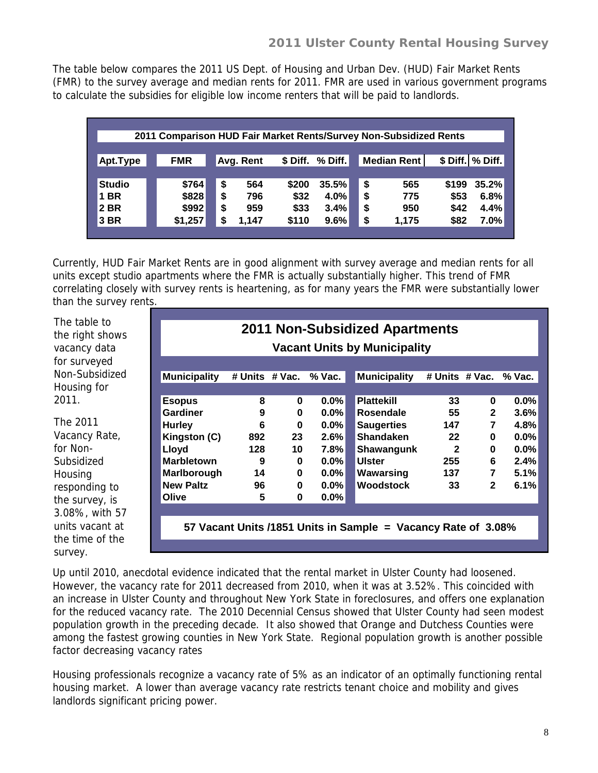The table below compares the 2011 US Dept. of Housing and Urban Dev. (HUD) Fair Market Rents (FMR) to the survey average and median rents for 2011. FMR are used in various government programs to calculate the subsidies for eligible low income renters that will be paid to landlords.

| 2011 Comparison HUD Fair Market Rents/Survey Non-Subsidized Rents |            |             |                       |    |                    |       |                    |  |  |  |  |
|-------------------------------------------------------------------|------------|-------------|-----------------------|----|--------------------|-------|--------------------|--|--|--|--|
|                                                                   |            |             |                       |    |                    |       |                    |  |  |  |  |
| Apt.Type                                                          | <b>FMR</b> | Avg. Rent   | $%$ Diff.<br>\$ Diff. |    | <b>Median Rent</b> |       | \$ Diff.   % Diff. |  |  |  |  |
|                                                                   |            |             |                       |    |                    |       |                    |  |  |  |  |
| <b>Studio</b>                                                     | \$764      | \$<br>564   | \$200<br>35.5%        | \$ | 565                | \$199 | 35.2%              |  |  |  |  |
| <b>1 BR</b>                                                       | \$828      | \$<br>796   | \$32<br>4.0%          | \$ | 775                | \$53  | 6.8%               |  |  |  |  |
| 2 BR                                                              | \$992      | \$<br>959   | \$33<br>3.4%          | \$ | 950                | \$42  | 4.4%               |  |  |  |  |
| 3 BR                                                              | \$1,257    | \$<br>1.147 | 9.6%<br>\$110         | \$ | 1,175              | \$82  | 7.0%               |  |  |  |  |
|                                                                   |            |             |                       |    |                    |       |                    |  |  |  |  |

Currently, HUD Fair Market Rents are in good alignment with survey average and median rents for all units except studio apartments where the FMR is actually substantially higher. This trend of FMR correlating closely with survey rents is heartening, as for many years the FMR were substantially lower than the survey rents.

The table to the right shows vacancy data for surveyed Non-Subsidized Housing for 2011.

The 2011 Vacancy Rate, for Non-Subsidized **Housing** responding to the survey, is 3.08%, with 57 units vacant at the time of the survey.

|                     |                |              |         | <b>Vacant Units by Municipality</b> |                |                |          |
|---------------------|----------------|--------------|---------|-------------------------------------|----------------|----------------|----------|
| <b>Municipality</b> | # Units # Vac. |              | % Vac.  | <b>Municipality</b>                 | # Units # Vac. |                | $%$ Vac. |
|                     |                |              |         |                                     |                |                |          |
| <b>Esopus</b>       | 8              | 0            | 0.0%    | <b>Plattekill</b>                   | 33             | 0              | $0.0\%$  |
| <b>Gardiner</b>     | 9              | 0            | $0.0\%$ | Rosendale                           | 55             | $\mathbf{2}$   | 3.6%     |
| <b>Hurley</b>       | 6              | $\bf{0}$     | $0.0\%$ | <b>Saugerties</b>                   | 147            | $\overline{7}$ | 4.8%     |
| Kingston (C)        | 892            | 23           | 2.6%    | <b>Shandaken</b>                    | 22             | 0              | $0.0\%$  |
| Lloyd               | 128            | $10-10$      | 7.8%    | Shawangunk                          | $\overline{2}$ | 0              | $0.0\%$  |
| <b>Marbletown</b>   | 9              | $\mathbf{0}$ | $0.0\%$ | <b>Ulster</b>                       | 255            | 6              | 2.4%     |
| Marlborough         | 14             | $\bf{0}$     | $0.0\%$ | Wawarsing                           | 137            | $\overline{7}$ | 5.1%     |
| <b>New Paltz</b>    | 96             | $\bf{0}$     | $0.0\%$ | <b>Woodstock</b>                    | 33             | $\mathbf{2}$   | 6.1%     |
| Olive               | 5              | 0            | $0.0\%$ |                                     |                |                |          |
|                     |                |              |         |                                     |                |                |          |

Up until 2010, anecdotal evidence indicated that the rental market in Ulster County had loosened. However, the vacancy rate for 2011 decreased from 2010, when it was at 3.52%. This coincided with an increase in Ulster County and throughout New York State in foreclosures, and offers one explanation for the reduced vacancy rate. The 2010 Decennial Census showed that Ulster County had seen modest population growth in the preceding decade. It also showed that Orange and Dutchess Counties were among the fastest growing counties in New York State. Regional population growth is another possible factor decreasing vacancy rates

Housing professionals recognize a vacancy rate of 5% as an indicator of an optimally functioning rental housing market. A lower than average vacancy rate restricts tenant choice and mobility and gives landlords significant pricing power.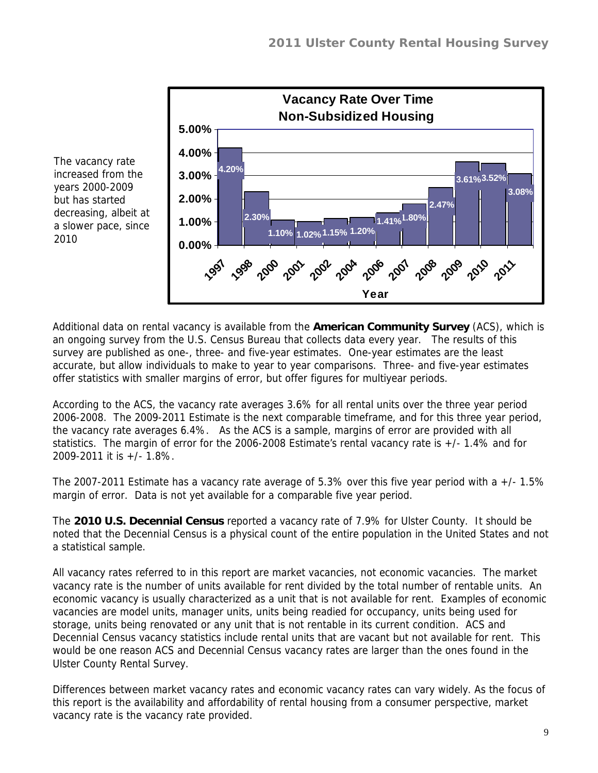

The vacancy rate increased from the years 2000-2009 but has started decreasing, albeit at a slower pace, since 2010

Additional data on rental vacancy is available from the **American Community Survey** (ACS), which is an ongoing survey from the U.S. Census Bureau that collects data every year. The results of this survey are published as one-, three- and five-year estimates. One-year estimates are the least accurate, but allow individuals to make to year to year comparisons. Three- and five-year estimates offer statistics with smaller margins of error, but offer figures for multiyear periods.

According to the ACS, the vacancy rate averages 3.6% for all rental units over the three year period 2006-2008. The 2009-2011 Estimate is the next comparable timeframe, and for this three year period, the vacancy rate averages 6.4%. As the ACS is a sample, margins of error are provided with all statistics. The margin of error for the 2006-2008 Estimate's rental vacancy rate is +/- 1.4% and for 2009-2011 it is +/- 1.8%.

The 2007-2011 Estimate has a vacancy rate average of 5.3% over this five year period with a +/- 1.5% margin of error. Data is not yet available for a comparable five year period.

The **2010 U.S. Decennial Census** reported a vacancy rate of 7.9% for Ulster County. It should be noted that the Decennial Census is a physical count of the entire population in the United States and not a statistical sample.

All vacancy rates referred to in this report are market vacancies, not economic vacancies. The market vacancy rate is the number of units available for rent divided by the total number of rentable units. An economic vacancy is usually characterized as a unit that is not available for rent. Examples of economic vacancies are model units, manager units, units being readied for occupancy, units being used for storage, units being renovated or any unit that is not rentable in its current condition. ACS and Decennial Census vacancy statistics include rental units that are vacant but not available for rent. This would be one reason ACS and Decennial Census vacancy rates are larger than the ones found in the Ulster County Rental Survey.

Differences between market vacancy rates and economic vacancy rates can vary widely. As the focus of this report is the availability and affordability of rental housing from a consumer perspective, market vacancy rate is the vacancy rate provided.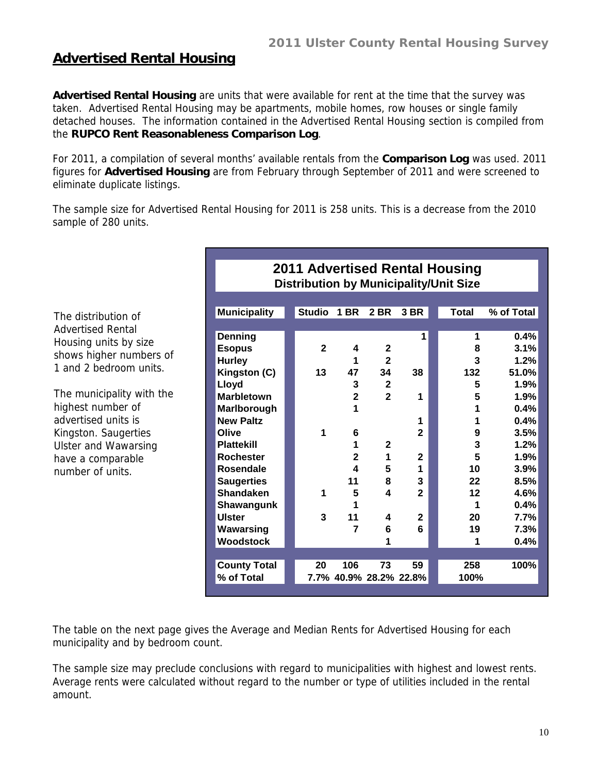**2011 Advertised Rental Housing**

#### **Advertised Rental Housing**

**Advertised Rental Housing** are units that were available for rent at the time that the survey was taken. Advertised Rental Housing may be apartments, mobile homes, row houses or single family detached houses. The information contained in the Advertised Rental Housing section is compiled from the **RUPCO Rent Reasonableness Comparison Log**.

For 2011, a compilation of several months' available rentals from the **Comparison Log** was used. 2011 figures for **Advertised Housing** are from February through September of 2011 and were screened to eliminate duplicate listings.

The sample size for Advertised Rental Housing for 2011 is 258 units. This is a decrease from the 2010 sample of 280 units.

|                             |                     |               |                         |                         |                | <b>Distribution by Municipality/Unit Size</b> |            |
|-----------------------------|---------------------|---------------|-------------------------|-------------------------|----------------|-----------------------------------------------|------------|
|                             |                     |               |                         |                         |                |                                               |            |
| The distribution of         | <b>Municipality</b> | <b>Studio</b> | <b>1 BR</b>             | <b>2 BR</b>             | 3 BR           | <b>Total</b>                                  | % of Total |
| <b>Advertised Rental</b>    |                     |               |                         |                         |                |                                               |            |
| Housing units by size       | Denning             |               |                         |                         | 1              | 1                                             | 0.4%       |
| shows higher numbers of     | <b>Esopus</b>       | $\mathbf{2}$  | 4                       | $\mathbf{2}$            |                | 8                                             | 3.1%       |
| 1 and 2 bedroom units.      | <b>Hurley</b>       |               | 1                       | $\overline{\mathbf{2}}$ |                | 3                                             | 1.2%       |
|                             | Kingston (C)        | 13            | 47                      | 34                      | 38             | 132                                           | 51.0%      |
|                             | Lloyd               |               | 3                       | $\boldsymbol{2}$        |                | 5                                             | 1.9%       |
| The municipality with the   | <b>Marbletown</b>   |               | $\overline{\mathbf{2}}$ | $\overline{2}$          | 1              | 5                                             | 1.9%       |
| highest number of           | Marlborough         |               | 1                       |                         |                |                                               | 0.4%       |
| advertised units is         | <b>New Paltz</b>    |               |                         |                         | 1              | 1                                             | 0.4%       |
| Kingston. Saugerties        | Olive               | 1             | 6                       |                         | $\mathbf{2}$   | 9                                             | 3.5%       |
| <b>Ulster and Wawarsing</b> | <b>Plattekill</b>   |               |                         | $\mathbf{2}$            |                | 3                                             | 1.2%       |
| have a comparable           | <b>Rochester</b>    |               | $\mathbf 2$             | 1                       | $\mathbf{2}$   | 5                                             | 1.9%       |
| number of units.            | Rosendale           |               | 4                       | 5                       | 1              | 10                                            | 3.9%       |
|                             | <b>Saugerties</b>   |               | 11                      | 8                       | 3              | 22                                            | 8.5%       |
|                             | <b>Shandaken</b>    | 1             | 5                       | $\overline{\mathbf{4}}$ | $\overline{2}$ | 12                                            | 4.6%       |
|                             | Shawangunk          |               | 1                       |                         |                | 1                                             | 0.4%       |
|                             | <b>Ulster</b>       | 3             | 11                      | 4                       | $\mathbf{2}$   | 20                                            | 7.7%       |
|                             | Wawarsing           |               | $\overline{7}$          | 6                       | 6              | 19                                            | 7.3%       |
|                             | <b>Woodstock</b>    |               |                         |                         |                | 1                                             | 0.4%       |
|                             |                     |               |                         |                         |                |                                               |            |
|                             | <b>County Total</b> | 20            | 106                     | 73                      | 59             | 258                                           | 100%       |
|                             | % of Total          |               |                         | 7.7% 40.9% 28.2% 22.8%  |                | 100%                                          |            |
|                             |                     |               |                         |                         |                |                                               |            |

The table on the next page gives the Average and Median Rents for Advertised Housing for each municipality and by bedroom count.

The sample size may preclude conclusions with regard to municipalities with highest and lowest rents. Average rents were calculated without regard to the number or type of utilities included in the rental amount.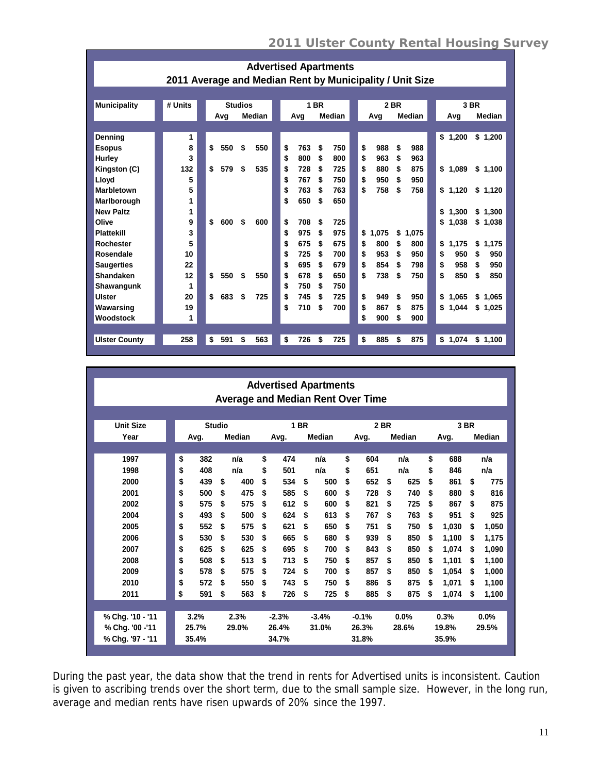|                                                          |  |         |  |    |                |    |               | <b>Advertised Apartments</b> |             |     |    |        |             |    |       |    |        |    |         |    |         |
|----------------------------------------------------------|--|---------|--|----|----------------|----|---------------|------------------------------|-------------|-----|----|--------|-------------|----|-------|----|--------|----|---------|----|---------|
| 2011 Average and Median Rent by Municipality / Unit Size |  |         |  |    |                |    |               |                              |             |     |    |        |             |    |       |    |        |    |         |    |         |
|                                                          |  |         |  |    |                |    |               |                              |             |     |    |        |             |    |       |    |        |    |         |    |         |
| <b>Municipality</b>                                      |  | # Units |  |    | <b>Studios</b> |    |               |                              | <b>1 BR</b> |     |    |        | <b>2 BR</b> |    |       |    | 3 BR   |    |         |    |         |
|                                                          |  |         |  |    | Avg            |    | <b>Median</b> |                              |             | Avg |    | Median |             |    | Avg   |    | Median |    | Avg     |    | Median  |
|                                                          |  |         |  |    |                |    |               |                              |             |     |    |        |             |    |       |    |        |    |         |    |         |
| Denning                                                  |  | 1       |  |    |                |    |               |                              |             |     |    |        |             |    |       |    |        |    | \$1,200 |    | \$1,200 |
| <b>Esopus</b>                                            |  | 8       |  | \$ | 550            | \$ | 550           |                              | \$          | 763 | \$ | 750    |             | \$ | 988   | \$ | 988    |    |         |    |         |
| Hurley                                                   |  | 3       |  |    |                |    |               |                              | \$          | 800 | \$ | 800    |             | \$ | 963   | \$ | 963    |    |         |    |         |
| Kingston (C)                                             |  | 132     |  | \$ | 579            | \$ | 535           |                              | \$          | 728 | \$ | 725    |             | \$ | 880   | \$ | 875    |    | \$1,089 |    | \$1,100 |
| Lloyd                                                    |  | 5       |  |    |                |    |               |                              | \$          | 767 | \$ | 750    |             | \$ | 950   | \$ | 950    |    |         |    |         |
| <b>Marbletown</b>                                        |  | 5       |  |    |                |    |               |                              | \$          | 763 | \$ | 763    |             | \$ | 758   | \$ | 758    |    | \$1.120 |    | \$1,120 |
| Marlborough                                              |  | 1       |  |    |                |    |               |                              | \$          | 650 | \$ | 650    |             |    |       |    |        |    |         |    |         |
| <b>New Paltz</b>                                         |  | 1       |  |    |                |    |               |                              |             |     |    |        |             |    |       |    |        | \$ | 1.300   |    | \$1.300 |
| Olive                                                    |  | 9       |  | \$ | 600            | \$ | 600           |                              | \$          | 708 | \$ | 725    |             |    |       |    |        | \$ | 1,038   |    | \$1,038 |
| <b>Plattekill</b>                                        |  | 3       |  |    |                |    |               |                              | \$          | 975 | \$ | 975    |             | \$ | 1,075 | \$ | 1.075  |    |         |    |         |
| <b>Rochester</b>                                         |  | 5       |  |    |                |    |               |                              | \$          | 675 | \$ | 675    |             | \$ | 800   | \$ | 800    | \$ | 1,175   | \$ | 1,175   |
| Rosendale                                                |  | 10      |  |    |                |    |               |                              | \$          | 725 | \$ | 700    |             | \$ | 953   | \$ | 950    | \$ | 950     | \$ | 950     |
| <b>Saugerties</b>                                        |  | 22      |  |    |                |    |               |                              | \$          | 695 | \$ | 679    |             | \$ | 854   | \$ | 798    | \$ | 958     | \$ | 950     |
| Shandaken                                                |  | 12      |  | \$ | 550            | \$ | 550           |                              | \$          | 678 | \$ | 650    |             | \$ | 738   | \$ | 750    | \$ | 850     | \$ | 850     |
| Shawangunk                                               |  | 1       |  |    |                |    |               |                              | \$          | 750 | \$ | 750    |             |    |       |    |        |    |         |    |         |
| Ulster                                                   |  | 20      |  | \$ | 683            | \$ | 725           |                              | \$          | 745 | \$ | 725    |             | \$ | 949   | \$ | 950    | \$ | 1.065   |    | \$1.065 |
| Wawarsing                                                |  | 19      |  |    |                |    |               |                              | \$          | 710 | \$ | 700    |             | \$ | 867   | \$ | 875    |    | \$1,044 |    | \$1,025 |
| Woodstock                                                |  | 1       |  |    |                |    |               |                              |             |     |    |        |             | \$ | 900   | \$ | 900    |    |         |    |         |
|                                                          |  |         |  |    |                |    |               |                              |             |     |    |        |             |    |       |    |        |    |         |    |         |
| <b>Ulster County</b>                                     |  | 258     |  | \$ | 591            | \$ | 563           |                              | \$          | 726 | \$ | 725    |             | \$ | 885   | \$ | 875    |    | \$1,074 |    | \$1,100 |

|                                          |               |       |               |     |             |     |         | <b>Advertised Apartments</b> |             |       |        |     |       |       |        |       |
|------------------------------------------|---------------|-------|---------------|-----|-------------|-----|---------|------------------------------|-------------|-------|--------|-----|-------|-------|--------|-------|
| <b>Average and Median Rent Over Time</b> |               |       |               |     |             |     |         |                              |             |       |        |     |       |       |        |       |
|                                          |               |       |               |     |             |     |         |                              |             |       |        |     |       |       |        |       |
| <b>Unit Size</b>                         | <b>Studio</b> |       |               |     | <b>1 BR</b> |     |         |                              | <b>2 BR</b> |       |        |     | 3 BR  |       |        |       |
| Year                                     |               | Avg.  | <b>Median</b> |     | Avg.        |     | Median  |                              | Avg.        |       | Median |     | Avg.  |       | Median |       |
|                                          |               |       |               |     |             |     |         |                              |             |       |        |     |       |       |        |       |
| 1997                                     | \$            | 382   |               | n/a | \$          | 474 |         | n/a                          | \$          | 604   |        | n/a | \$    | 688   |        | n/a   |
| 1998                                     | \$            | 408   |               | n/a | \$          | 501 |         | n/a                          | \$          | 651   |        | n/a | \$    | 846   |        | n/a   |
| 2000                                     | \$            | 439   | \$            | 400 | \$          | 534 | \$      | 500                          | \$          | 652   | \$     | 625 | \$    | 861   | \$     | 775   |
| 2001                                     | \$            | 500   | \$            | 475 | \$          | 585 | \$      | 600                          | \$          | 728   | \$     | 740 | \$    | 880   | \$     | 816   |
| 2002                                     | \$            | 575   | \$            | 575 | \$          | 612 | S       | 600                          | \$          | 821   | \$     | 725 | \$    | 867   | \$     | 875   |
| 2004                                     | \$            | 493   | \$            | 500 | \$          | 624 | \$      | 613                          | \$          | 767   | \$     | 763 | \$    | 951   | \$     | 925   |
| 2005                                     | \$            | 552   | \$            | 575 | \$          | 621 | \$      | 650                          | \$          | 751   | \$     | 750 | \$    | 1,030 | \$     | 1,050 |
| 2006                                     | \$            | 530   | \$            | 530 | \$          | 665 | \$      | 680                          | \$          | 939   | \$     | 850 | \$    | 1,100 | \$     | 1,175 |
| 2007                                     | \$            | 625   | \$            | 625 | \$          | 695 | \$      | 700                          | \$          | 843   | \$     | 850 | \$    | 1,074 | S      | 1,090 |
| 2008                                     | \$            | 508   | \$            | 513 | \$          | 713 | \$      | 750                          | \$          | 857   | \$     | 850 | \$    | 1,101 | \$     | 1,100 |
| 2009                                     | \$            | 578   | \$            | 575 | \$          | 724 | \$      | 700                          | \$          | 857   | \$     | 850 | \$    | 1,054 | S      | 1,000 |
| 2010                                     | \$            | 572   | \$            | 550 | \$          | 743 | \$      | 750                          | \$          | 886   | \$     | 875 | \$    | 1,071 | S      | 1,100 |
| 2011                                     | \$            | 591   | \$            | 563 | \$          | 726 | \$      | 725                          | \$          | 885   | \$     | 875 | \$    | 1,074 | \$     | 1,100 |
|                                          |               |       |               |     |             |     |         |                              |             |       |        |     |       |       |        |       |
| % Chg. '10 - '11                         | 3.2%          |       | 2.3%          |     | $-2.3%$     |     | $-3.4%$ |                              | $-0.1%$     |       | 0.0%   |     | 0.3%  |       | 0.0%   |       |
| % Chg. '00 -'11                          | 25.7%         |       | 29.0%         |     | 26.4%       |     | 31.0%   |                              | 26.3%       |       | 28.6%  |     | 19.8% |       | 29.5%  |       |
| % Chg. '97 - '11                         |               | 35.4% |               |     | 34.7%       |     |         |                              |             | 31.8% |        |     |       | 35.9% |        |       |

During the past year, the data show that the trend in rents for Advertised units is inconsistent. Caution is given to ascribing trends over the short term, due to the small sample size. However, in the long run, average and median rents have risen upwards of 20% since the 1997.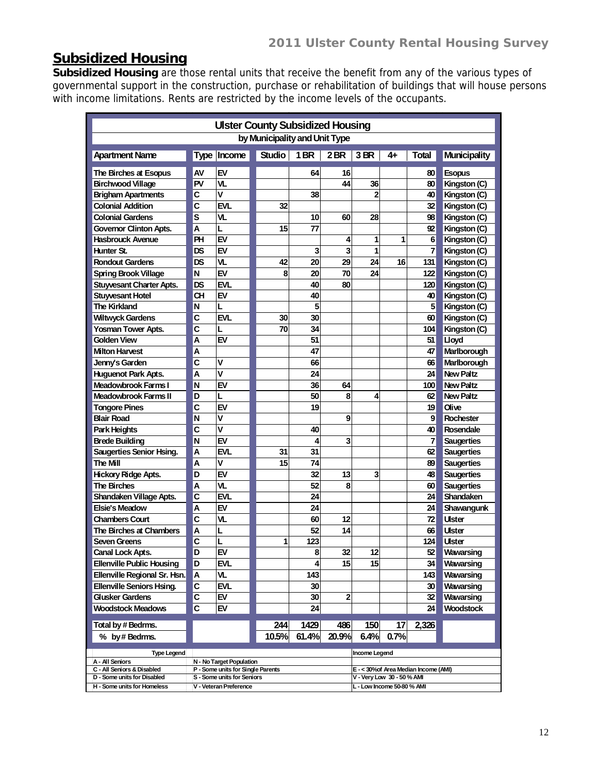# **Subsidized Housing**

**Subsidized Housing** are those rental units that receive the benefit from any of the various types of governmental support in the construction, purchase or rehabilitation of buildings that will house persons with income limitations. Rents are restricted by the income levels of the occupants.

| <b>Ulster County Subsidized Housing</b> |           |                                   |                               |                 |       |                            |      |                                       |                   |  |  |
|-----------------------------------------|-----------|-----------------------------------|-------------------------------|-----------------|-------|----------------------------|------|---------------------------------------|-------------------|--|--|
|                                         |           |                                   | by Municipality and Unit Type |                 |       |                            |      |                                       |                   |  |  |
| <b>Apartment Name</b>                   |           | Type Income                       | <b>Studio</b>                 | 1 <sub>BR</sub> | 2BR   | 3 BR                       | 4+   | <b>Total</b>                          | Municipality      |  |  |
| The Birches at Esopus                   | AV        | EV                                |                               | 64              | 16    |                            |      | 80                                    | <b>Esopus</b>     |  |  |
| <b>Birchwood Village</b>                | PV        | VL.                               |                               |                 | 44    | 36                         |      | 80                                    | Kingston (C)      |  |  |
| <b>Brigham Apartments</b>               | C         | V                                 |                               | 38              |       | $\mathbf{2}$               |      | 40                                    | Kingston (C)      |  |  |
| <b>Colonial Addition</b>                | C         | <b>EVL</b>                        | 32                            |                 |       |                            |      | 32                                    | Kingston (C)      |  |  |
| <b>Colonial Gardens</b>                 | S         | VL                                |                               | 10              | 60    | 28                         |      | 98                                    | Kingston (C)      |  |  |
| <b>Governor Clinton Apts.</b>           | А         | L                                 | 15                            | 77              |       |                            |      | 92                                    | Kingston (C)      |  |  |
| <b>Hasbrouck Avenue</b>                 | PH        | EV                                |                               |                 | 4     | 1                          | 1    | 6                                     | Kingston (C)      |  |  |
| Hunter St.                              | DS        | EV                                |                               | 3               | 3     | 1                          |      | 7                                     | Kingston (C)      |  |  |
| <b>Rondout Gardens</b>                  | DS        | VL                                | 42                            | 20              | 29    | 24                         | 16   | 131                                   | Kingston (C)      |  |  |
| <b>Spring Brook Village</b>             | N         | EV                                | 8                             | 20              | 70    | 24                         |      | 122                                   | Kingston (C)      |  |  |
| <b>Stuyvesant Charter Apts.</b>         | <b>DS</b> | EVL                               |                               | 40              | 80    |                            |      | 120                                   | Kingston (C)      |  |  |
| <b>Stuyvesant Hotel</b>                 | <b>CH</b> | EV                                |                               | 40              |       |                            |      | 40                                    | Kingston (C)      |  |  |
| <b>The Kirkland</b>                     | N         | L                                 |                               | 5               |       |                            |      | 5                                     | Kingston (C)      |  |  |
| <b>Wiltwyck Gardens</b>                 | C         | <b>EVL</b>                        | 30                            | 30              |       |                            |      | 60                                    | Kingston (C)      |  |  |
| <b>Yosman Tower Apts.</b>               | C         | L                                 | 70                            | 34              |       |                            |      | 104                                   | Kingston (C)      |  |  |
| Golden View                             | A         | EV                                |                               | 51              |       |                            |      | 51                                    | <b>Lloyd</b>      |  |  |
| <b>Milton Harvest</b>                   | А         |                                   |                               | 47              |       |                            |      | 47                                    | Marlborough       |  |  |
| Jenny's Garden                          | C         | V                                 |                               | 66              |       |                            |      | 66                                    | Marlborough       |  |  |
| <b>Huguenot Park Apts.</b>              | A         | V                                 |                               | 24              |       |                            |      | 24                                    | <b>New Paltz</b>  |  |  |
| <b>Meadowbrook Farms I</b>              | N         | EV                                |                               | 36              | 64    |                            |      | 100                                   | <b>New Paltz</b>  |  |  |
| Meadowbrook Farms II                    | D         | L                                 |                               | 50              | 8     | 4                          |      | 62                                    | <b>New Paltz</b>  |  |  |
| <b>Tongore Pines</b>                    | C         | EV                                |                               | 19              |       |                            |      | 19                                    | Olive             |  |  |
| <b>Blair Road</b>                       | N         | V                                 |                               |                 | 9     |                            |      | 9                                     | <b>Rochester</b>  |  |  |
| Park Heights                            | C         | $\overline{\mathsf{v}}$           |                               | 40              |       |                            |      | 40                                    | Rosendale         |  |  |
| <b>Brede Building</b>                   | N         | EV                                |                               | 4               | 3     |                            |      | 7                                     | <b>Saugerties</b> |  |  |
| <b>Saugerties Senior Hsing.</b>         | А         | <b>EVL</b>                        | 31                            | 31              |       |                            |      | 62                                    | <b>Saugerties</b> |  |  |
| The Mill                                | A         | ۷                                 | 15                            | 74              |       |                            |      | 89                                    | <b>Saugerties</b> |  |  |
| <b>Hickory Ridge Apts.</b>              | D         | EV                                |                               | 32              | 13    | 3                          |      | 48                                    | <b>Saugerties</b> |  |  |
| <b>The Birches</b>                      | А         | VL.                               |                               | 52              | 8     |                            |      | 60                                    | <b>Saugerties</b> |  |  |
| Shandaken Village Apts.                 | C         | <b>EVL</b>                        |                               | 24              |       |                            |      | 24                                    | Shandaken         |  |  |
| <b>Elsie's Meadow</b>                   | A         | EV                                |                               | 24              |       |                            |      | 24                                    | Shawangunk        |  |  |
| <b>Chambers Court</b>                   | C         | VL                                |                               | 60              | 12    |                            |      | 72                                    | Ulster            |  |  |
| The Birches at Chambers                 | А         | L                                 |                               | 52              | 14    |                            |      | 66                                    | Ulster            |  |  |
| Seven Greens                            | C         | L                                 | 1                             | 123             |       |                            |      | 124                                   | Ulster            |  |  |
| <b>Canal Lock Apts</b>                  | D         | FV                                |                               | R               | 32    | 12                         |      | 52                                    | Wawarsing         |  |  |
| <b>Ellenville Public Housing</b>        | D         | EVL                               |                               | 4               | 15    | 15                         |      | 34                                    | Wawarsing         |  |  |
| Ellenville Regional Sr. Hsn.            | Α         | VL                                |                               | 143             |       |                            |      | 143                                   | Wawarsing         |  |  |
| <b>Ellenville Seniors Hsing.</b>        | C         | EVL                               |                               | 30              |       |                            |      | 30                                    | Wawarsing         |  |  |
| <b>Glusker Gardens</b>                  | C         | EV                                |                               | 30              | 2     |                            |      | 32                                    | Wawarsing         |  |  |
| <b>Woodstock Meadows</b>                | C         | EV                                |                               | 24              |       |                            |      | 24                                    | Woodstock         |  |  |
| Total by # Bedrms.                      |           |                                   | 244                           | 1429            | 486   | 150                        | 17   | 2,326                                 |                   |  |  |
| % by # Bedrms.                          |           |                                   | 10.5%                         | 61.4%           | 20.9% | 6.4%                       | 0.7% |                                       |                   |  |  |
|                                         |           |                                   |                               |                 |       | <b>Income Legend</b>       |      |                                       |                   |  |  |
| <b>Type Legend</b><br>A - All Seniors   |           | N - No Target Population          |                               |                 |       |                            |      |                                       |                   |  |  |
| C - All Seniors & Disabled              |           | P - Some units for Single Parents |                               |                 |       |                            |      | E - < 30% of Area Median Income (AMI) |                   |  |  |
| D - Some units for Disabled             |           | S - Some units for Seniors        |                               |                 |       | V - Very Low 30 - 50% AMI  |      |                                       |                   |  |  |
| H - Some units for Homeless             |           | V - Veteran Preference            |                               |                 |       | L - Low Income 50-80 % AMI |      |                                       |                   |  |  |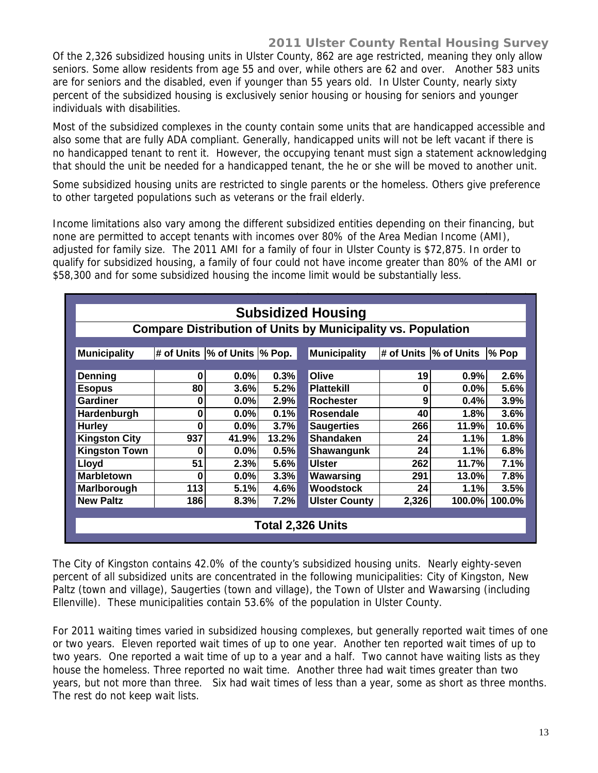Of the 2,326 subsidized housing units in Ulster County, 862 are age restricted, meaning they only allow seniors. Some allow residents from age 55 and over, while others are 62 and over. Another 583 units are for seniors and the disabled, even if younger than 55 years old. In Ulster County, nearly sixty percent of the subsidized housing is exclusively senior housing or housing for seniors and younger individuals with disabilities.

Most of the subsidized complexes in the county contain some units that are handicapped accessible and also some that are fully ADA compliant. Generally, handicapped units will not be left vacant if there is no handicapped tenant to rent it. However, the occupying tenant must sign a statement acknowledging that should the unit be needed for a handicapped tenant, the he or she will be moved to another unit.

Some subsidized housing units are restricted to single parents or the homeless. Others give preference to other targeted populations such as veterans or the frail elderly.

Income limitations also vary among the different subsidized entities depending on their financing, but none are permitted to accept tenants with incomes over 80% of the Area Median Income (AMI), adjusted for family size. The 2011 AMI for a family of four in Ulster County is \$72,875. In order to qualify for subsidized housing, a family of four could not have income greater than 80% of the AMI or \$58,300 and for some subsidized housing the income limit would be substantially less.

| <b>Subsidized Housing</b>                                           |     |                                |       |                      |       |                        |          |  |  |
|---------------------------------------------------------------------|-----|--------------------------------|-------|----------------------|-------|------------------------|----------|--|--|
| <b>Compare Distribution of Units by Municipality vs. Population</b> |     |                                |       |                      |       |                        |          |  |  |
|                                                                     |     |                                |       |                      |       |                        |          |  |  |
| Municipality                                                        |     | # of Units  % of Units  % Pop. |       | <b>Municipality</b>  |       | # of Units  % of Units | $\%$ Pop |  |  |
|                                                                     |     |                                |       |                      |       |                        |          |  |  |
| <b>Denning</b>                                                      | 0   | $0.0\%$                        | 0.3%  | Olive                | 19    | 0.9%                   | 2.6%     |  |  |
| <b>Esopus</b>                                                       | 80  | 3.6%                           | 5.2%  | <b>Plattekill</b>    | 0     | $0.0\%$                | 5.6%     |  |  |
| <b>Gardiner</b>                                                     | 0   | $0.0\%$                        | 2.9%  | <b>Rochester</b>     | 9     | 0.4%                   | 3.9%     |  |  |
| Hardenburgh                                                         | 0   | 0.0%                           | 0.1%  | Rosendale            | 40    | 1.8%                   | 3.6%     |  |  |
| <b>Hurley</b>                                                       | 0   | $0.0\%$                        | 3.7%  | <b>Saugerties</b>    | 266   | 11.9%                  | 10.6%    |  |  |
| <b>Kingston City</b>                                                | 937 | 41.9%                          | 13.2% | <b>Shandaken</b>     | 24    | 1.1%                   | 1.8%     |  |  |
| <b>Kingston Town</b>                                                | 0   | $0.0\%$                        | 0.5%  | Shawangunk           | 24    | 1.1%                   | 6.8%     |  |  |
| Lloyd                                                               | 51  | 2.3%                           | 5.6%  | <b>Ulster</b>        | 262   | 11.7%                  | 7.1%     |  |  |
| <b>Marbletown</b>                                                   | 0   | $0.0\%$                        | 3.3%  | Wawarsing            | 291   | 13.0%                  | 7.8%     |  |  |
| Marlborough                                                         | 113 | 5.1%                           | 4.6%  | <b>Woodstock</b>     | 24    | 1.1%                   | 3.5%     |  |  |
| <b>New Paltz</b>                                                    | 186 | 8.3%                           | 7.2%  | <b>Ulster County</b> | 2,326 | 100.0%                 | 100.0%   |  |  |
|                                                                     |     |                                |       |                      |       |                        |          |  |  |
| Total 2,326 Units                                                   |     |                                |       |                      |       |                        |          |  |  |

The City of Kingston contains 42.0% of the county's subsidized housing units. Nearly eighty-seven percent of all subsidized units are concentrated in the following municipalities: City of Kingston, New Paltz (town and village), Saugerties (town and village), the Town of Ulster and Wawarsing (including Ellenville). These municipalities contain 53.6% of the population in Ulster County.

For 2011 waiting times varied in subsidized housing complexes, but generally reported wait times of one or two years. Eleven reported wait times of up to one year. Another ten reported wait times of up to two years. One reported a wait time of up to a year and a half. Two cannot have waiting lists as they house the homeless. Three reported no wait time. Another three had wait times greater than two years, but not more than three. Six had wait times of less than a year, some as short as three months. The rest do not keep wait lists.